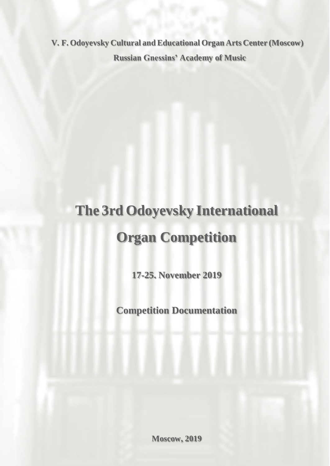**V. F. Odoyevsky Cultural and Educational Organ Arts Center (Moscow) Russian Gnessins' Academy of Music**

# **The 3rd Odoyevsky International Organ Competition**

**17-25. November 2019**

**Competition Documentation**

**Moscow, 2019**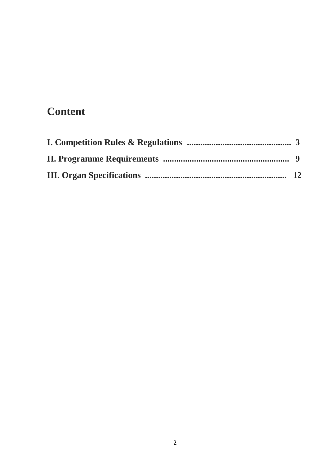# **Content**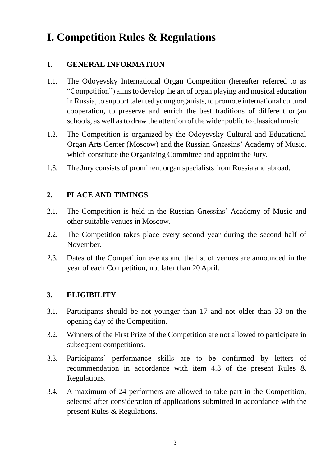# **I. Competition Rules & Regulations**

# **1. GENERAL INFORMATION**

- 1.1. The Odoyevsky International Organ Competition (hereafter referred to as "Competition") aims to develop the art of organ playing and musical education in Russia, to support talented young organists, to promote international cultural cooperation, to preserve and enrich the best traditions of different organ schools, as well asto draw the attention of the wider public to classical music.
- 1.2. The Competition is organized by the Odoyevsky Cultural and Educational Organ Arts Center (Moscow) and the Russian Gnessins' Academy of Music, which constitute the Organizing Committee and appoint the Jury.
- 1.3. The Jury consists of prominent organ specialists from Russia and abroad.

## **2. PLACE AND TIMINGS**

- 2.1. The Competition is held in the Russian Gnessins' Academy of Music and other suitable venues in Moscow.
- 2.2. The Competition takes place every second year during the second half of November.
- 2.3. Dates of the Competition events and the list of venues are announced in the year of each Competition, not later than 20 April.

## **3. ELIGIBILITY**

- 3.1. Participants should be not younger than 17 and not older than 33 on the opening day of the Competition.
- 3.2. Winners of the First Prize of the Competition are not allowed to participate in subsequent competitions.
- 3.3. Participants' performance skills are to be confirmed by letters of recommendation in accordance with item 4.3 of the present Rules & Regulations.
- 3.4. A maximum of 24 performers are allowed to take part in the Competition, selected after consideration of applications submitted in accordance with the present Rules & Regulations.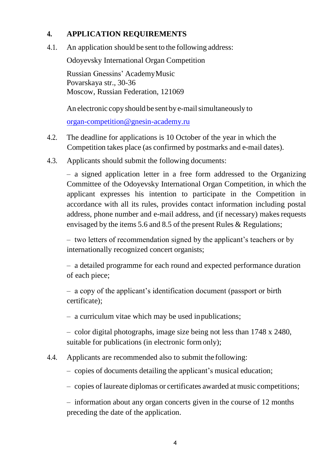## **4. APPLICATION REQUIREMENTS**

4.1. An application should be sent to the following address:

Odoyevsky International Organ Competition

Russian Gnessins' AcademyMusic Povarskaya str., 30-36 Moscow, Russian Federation, 121069

An electronic copy should be sent by e-mail simultaneously to

[organ-competition@gnesin-academy.ru](mailto:organ-competition@gnesin-academy.ru)

- 4.2. The deadline for applications is 10 October of the year in which the Competition takes place (as confirmed by postmarks and e-mail dates).
- 4.3. Applicants should submit the following documents:

– a signed application letter in a free form addressed to the Organizing Committee of the Odoyevsky International Organ Competition, in which the applicant expresses his intention to participate in the Competition in accordance with all its rules, provides contact information including postal address, phone number and e-mail address, and (if necessary) makes requests envisaged by the items 5.6 and 8.5 of the present Rules & Regulations;

– two letters of recommendation signed by the applicant's teachers or by internationally recognized concert organists;

– a detailed programme for each round and expected performance duration of each piece;

– a copy of the applicant's identification document (passport or birth certificate);

– a curriculum vitae which may be used inpublications;

– color digital photographs, image size being not less than 1748 x 2480, suitable for publications (in electronic form only);

- 4.4. Applicants are recommended also to submit the following:
	- copies of documents detailing the applicant's musical education;
	- copies of laureate diplomas or certificates awarded at music competitions;

– information about any organ concerts given in the course of 12 months preceding the date of the application.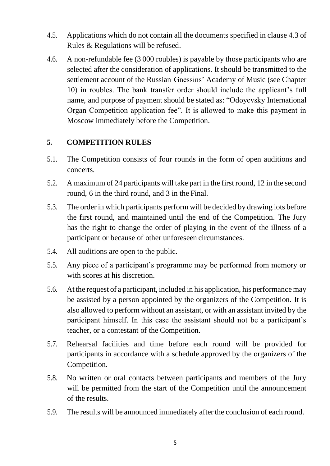- 4.5. Applications which do not contain all the documents specified in clause 4.3 of Rules & Regulations will be refused.
- 4.6. A non-refundable fee (3 000 roubles) is payable by those participants who are selected after the consideration of applications. It should be transmitted to the settlement account of the Russian Gnessins' Academy of Music (see Chapter 10) in roubles. The bank transfer order should include the applicant's full name, and purpose of payment should be stated as: "Odoyevsky International Organ Competition application fee". It is allowed to make this payment in Moscow immediately before the Competition.

# **5. COMPETITION RULES**

- 5.1. The Competition consists of four rounds in the form of open auditions and concerts.
- 5.2. A maximum of 24 participants will take part in the first round, 12 in the second round, 6 in the third round, and 3 in the Final.
- 5.3. The order in which participants perform will be decided by drawing lots before the first round, and maintained until the end of the Competition. The Jury has the right to change the order of playing in the event of the illness of a participant or because of other unforeseen circumstances.
- 5.4. All auditions are open to the public.
- 5.5. Any piece of a participant's programme may be performed from memory or with scores at his discretion.
- 5.6. At the request of a participant, included in his application, his performance may be assisted by a person appointed by the organizers of the Competition. It is also allowed to perform without an assistant, or with an assistant invited by the participant himself. In this case the assistant should not be a participant's teacher, or a contestant of the Competition.
- 5.7. Rehearsal facilities and time before each round will be provided for participants in accordance with a schedule approved by the organizers of the Competition.
- 5.8. No written or oral contacts between participants and members of the Jury will be permitted from the start of the Competition until the announcement of the results.
- 5.9. The results will be announced immediately after the conclusion of each round.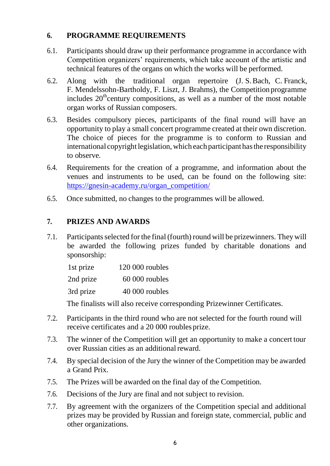### **6. PROGRAMME REQUIREMENTS**

- 6.1. Participants should draw up their performance programme in accordance with Competition organizers' requirements, which take account of the artistic and technical features of the organs on which the works will be performed.
- 6.2. Along with the traditional organ repertoire (J. S.Bach, C. Franck, F. Mendelssohn-Bartholdy, F. Liszt, J. Brahms), the Competition programme includes  $20<sup>th</sup>$ century compositions, as well as a number of the most notable organ works of Russian composers.
- 6.3. Besides compulsory pieces, participants of the final round will have an opportunity to play a small concert programme created at their own discretion. The choice of pieces for the programme is to conform to Russian and international copyright legislation,which each participant hasthe responsibility to observe.
- 6.4. Requirements for the creation of a programme, and information about the venues and instruments to be used, can be found on the following site: [https://gnesin-academy.ru/organ\\_competition/](https://gnesin-academy.ru/organ_competition/)
- 6.5. Once submitted, no changes to the programmes will be allowed.

# **7. PRIZES AND AWARDS**

7.1. Participants selected for the final (fourth) round will be prizewinners. They will be awarded the following prizes funded by charitable donations and sponsorship:

| 1st prize | 120 000 roubles |
|-----------|-----------------|
| 2nd prize | 60 000 roubles  |
| 3rd prize | 40 000 roubles  |

The finalists will also receive corresponding Prizewinner Certificates.

- 7.2. Participants in the third round who are not selected for the fourth round will receive certificates and a 20 000 roubles prize.
- 7.3. The winner of the Competition will get an opportunity to make a concert tour over Russian cities as an additional reward.
- 7.4. By special decision of the Jury the winner of the Competition may be awarded a Grand Prix.
- 7.5. The Prizes will be awarded on the final day of the Competition.
- 7.6. Decisions of the Jury are final and not subject to revision.
- 7.7. By agreement with the organizers of the Competition special and additional prizes may be provided by Russian and foreign state, commercial, public and other organizations.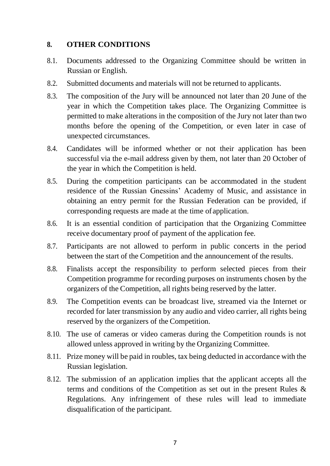### **8. OTHER CONDITIONS**

- 8.1. Documents addressed to the Organizing Committee should be written in Russian or English.
- 8.2. Submitted documents and materials will not be returned to applicants.
- 8.3. The composition of the Jury will be announced not later than 20 June of the year in which the Competition takes place. The Organizing Committee is permitted to make alterations in the composition of the Jury not later than two months before the opening of the Competition, or even later in case of unexpected circumstances.
- 8.4. Candidates will be informed whether or not their application has been successful via the e-mail address given by them, not later than 20 October of the year in which the Competition is held.
- 8.5. During the competition participants can be accommodated in the student residence of the Russian Gnessins' Academy of Music, and assistance in obtaining an entry permit for the Russian Federation can be provided, if corresponding requests are made at the time of application.
- 8.6. It is an essential condition of participation that the Organizing Committee receive documentary proof of payment of the application fee.
- 8.7. Participants are not allowed to perform in public concerts in the period between the start of the Competition and the announcement of the results.
- 8.8. Finalists accept the responsibility to perform selected pieces from their Competition programme for recording purposes on instruments chosen by the organizers of the Competition, all rights being reserved by the latter.
- 8.9. The Competition events can be broadcast live, streamed via the Internet or recorded for later transmission by any audio and video carrier, all rights being reserved by the organizers of the Competition.
- 8.10. The use of cameras or video cameras during the Competition rounds is not allowed unless approved in writing by the Organizing Committee.
- 8.11. Prize money will be paid in roubles, tax being deducted in accordance with the Russian legislation.
- 8.12. The submission of an application implies that the applicant accepts all the terms and conditions of the Competition as set out in the present Rules & Regulations. Any infringement of these rules will lead to immediate disqualification of the participant.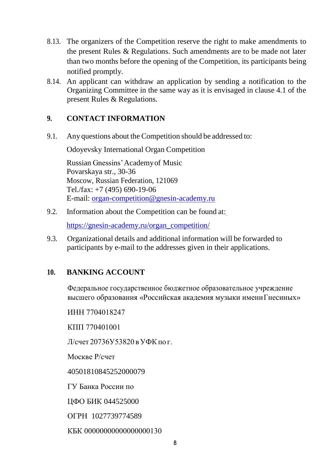- 8.13. The organizers of the Competition reserve the right to make amendments to the present Rules & Regulations. Such amendments are to be made not later than two months before the opening of the Competition, its participants being notified promptly.
- 8.14. An applicant can withdraw an application by sending a notification to the Organizing Committee in the same way as it is envisaged in clause 4.1 of the present Rules & Regulations.

## **9. CONTACT INFORMATION**

9.1. Any questions about the Competition should be addressed to:

Odoyevsky International Organ Competition

Russian Gnessins'Academyof Music Povarskaya str., 30-36 Moscow, Russian Federation, 121069 Tel./fax: +7 (495) 690-19-06 E-mail: [organ-competition@gnesin-academy.ru](mailto:organ-competition@gnesin-academy.ru)

9.2. Information about the Competition can be found at:

[https://gnesin-academy.ru/organ\\_competition/](https://gnesin-academy.ru/organ_competition/)

9.3. Organizational details and additional information will be forwarded to participants by e-mail to the addresses given in their applications.

# **10. BANKING ACCOUNT**

Федеральное государственное бюджетное образовательное учреждение высшего образования «Российская академия музыки имениГнесиных»

ИНН 7704018247 КПП 770401001 Л/счет 20736У53820 вУФКпо г. Москве Р/счет

40501810845252000079

ГУ Банка России по

ЦФО БИК 044525000

ОГРН 1027739774589

КБК 00000000000000000130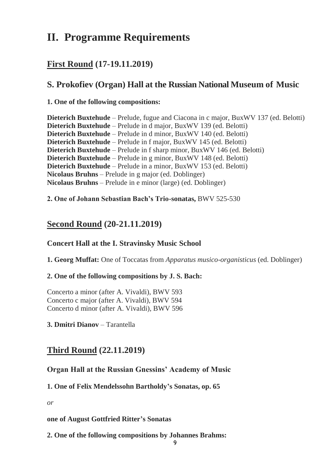# **II. Programme Requirements**

# **First Round (17-19.11.2019)**

# **S. Prokofiev (Organ) Hall at the Russian National Museum of Music**

#### **1. One of the following compositions:**

**Dieterich Buxtehude** – Prelude, fugue and Ciacona in c major, BuxWV 137 (ed. Belotti) **Dieterich Buxtehude** – Prelude in d major, BuxWV 139 (ed. Belotti) **Dieterich Buxtehude** – Prelude in d minor, BuxWV 140 (ed. Belotti) **Dieterich Buxtehude** – Prelude in f major, BuxWV 145 (ed. Belotti) **Dieterich Buxtehude** – Prelude in f sharp minor, BuxWV 146 (ed. Belotti) **Dieterich Buxtehude** – Prelude in g minor, BuxWV 148 (ed. Belotti) **Dieterich Buxtehude** – Prelude in a minor, BuxWV 153 (ed. Belotti) **Nicolaus Bruhns** – Prelude in g major (ed. Doblinger) **Nicolaus Bruhns** – Prelude in e minor (large) (ed. Doblinger)

#### **2. One of Johann Sebastian Bach's Trio-sonatas,** BWV 525-530

# **Second Round (20-21.11.2019)**

## **Concert Hall at the I. Stravinsky Music School**

**1. Georg Muffat:** One of Toccatas from *Apparatus musico-organisticus* (ed. Doblinger)

#### **2. One of the following compositions by J. S. Bach:**

Concerto a minor (after A. Vivaldi), BWV 593 Concerto c major (after A. Vivaldi), BWV 594 Concerto d minor (after A. Vivaldi), BWV 596

**3. Dmitri Dianov** – Tarantella

# **Third Round (22.11.2019)**

#### **Organ Hall at the Russian Gnessins' Academy of Music**

#### **1. One of Felix Mendelssohn Bartholdy's Sonatas, op. 65**

*or* 

**one of August Gottfried Ritter's Sonatas**

#### **2. One of the following compositions by Johannes Brahms:**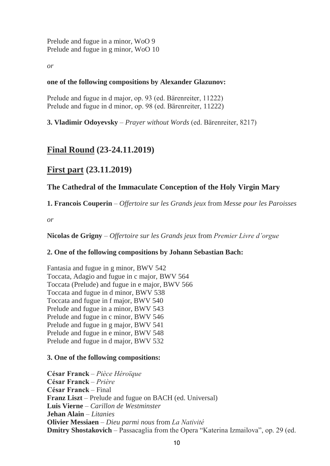Prelude and fugue in a minor, WoO 9 Prelude and fugue in g minor, WoO 10

*or*

#### **one of the following compositions by Alexander Glazunov:**

Prelude and fugue in d major, op. 93 (ed. Bärenreiter, 11222) Prelude and fugue in d minor, op. 98 (ed. Bärenreiter, 11222)

**3. Vladimir Odoyevsky** – *Prayer without Words* (ed. Bärenreiter, 8217)

# **Final Round (23-24.11.2019)**

# **First part (23.11.2019)**

## **The Cathedral of the Immaculate Conception of the Holy Virgin Mary**

**1. Francois Couperin** – *Offertoire sur les Grands jeux* from *Messe pour les Paroisses*

*or*

**Nicolas de Grigny** – *Offertoire sur les Grands jeux* from *Premier Livre d'orgue*

#### **2. One of the following compositions by Johann Sebastian Bach:**

Fantasia and fugue in g minor, BWV 542 Toccata, Adagio and fugue in c major, BWV 564 Toccata (Prelude) and fugue in e major, BWV 566 Toccata and fugue in d minor, BWV 538 Toccata and fugue in f major, BWV 540 Prelude and fugue in a minor, BWV 543 Prelude and fugue in c minor, BWV 546 Prelude and fugue in g major, BWV 541 Prelude and fugue in e minor, BWV 548 Prelude and fugue in d major, BWV 532

#### **3. One of the following compositions:**

**César Franck** – *Pièce Héroïque* **César Franck** – *Prière* **César Franck** – Final **Franz Liszt** – Prelude and fugue on BACH (ed. Universal) **Luis Vierne** – *Carillon de Westminster* **Jehan Alain** – *Litanies* **Olivier Messiaen** – *Dieu parmi nous* from *La Nativité* **Dmitry Shostakovich** – Passacaglia from the Opera "Katerina Izmailova", op. 29 (ed.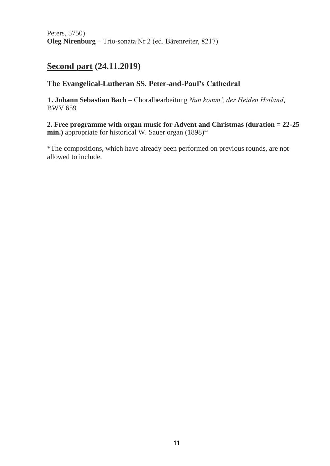Peters, 5750) **Oleg Nirenburg** – Trio-sonata Nr 2 (ed. Bärenreiter, 8217)

# **Second part (24.11.2019)**

#### **The Evangelical-Lutheran SS. Peter-and-Paul's Cathedral**

**1. Johann Sebastian Bach** – Choralbearbeitung *Nun komm', der Heiden Heiland*, BWV 659

**2. Free programme with organ music for Advent and Christmas (duration = 22-25**  min.) appropriate for historical W. Sauer organ (1898)\*

\*The compositions, which have already been performed on previous rounds, are not allowed to include.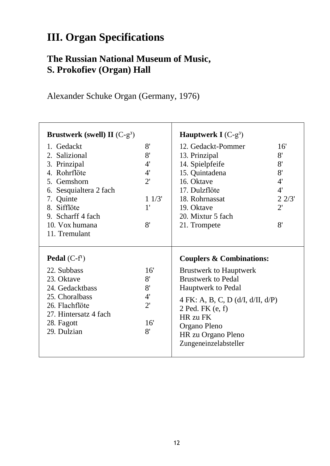# **III. Organ Specifications**

# **The Russian National Museum of Music, S. Prokofiev (Organ) Hall**

Alexander Schuke Organ (Germany, 1976)

| <b>Brustwerk (swell)</b> II $(C-g^3)$                                                                                                                           |                                                    | <b>Hauptwerk I</b> $(C-g^3)$                                                                                                                                                                                                                                           |                                   |
|-----------------------------------------------------------------------------------------------------------------------------------------------------------------|----------------------------------------------------|------------------------------------------------------------------------------------------------------------------------------------------------------------------------------------------------------------------------------------------------------------------------|-----------------------------------|
| 1. Gedackt<br>2. Salizional<br>3. Prinzipal<br>4. Rohrflöte<br>5. Gemshorn<br>6. Sesquialtera 2 fach                                                            | 8'<br>8'<br>4'<br>$4^{\prime}$<br>$2^{\prime}$     | 12. Gedackt-Pommer<br>13. Prinzipal<br>14. Spielpfeife<br>15. Quintadena<br>16. Oktave<br>17. Dulzflöte                                                                                                                                                                | 16'<br>8'<br>8'<br>8'<br>4'<br>4' |
| 7. Quinte<br>8. Sifflöte<br>9. Scharff 4 fach<br>10. Vox humana<br>11. Tremulant                                                                                | 11/3'<br>1'<br>8'                                  | 18. Rohrnassat<br>19. Oktave<br>20. Mixtur 5 fach<br>21. Trompete                                                                                                                                                                                                      | $2 \frac{2}{3}$<br>2'<br>8'       |
| <b>Pedal</b> $(C-f1)$<br>22. Subbass<br>23. Oktave<br>24. Gedacktbass<br>25. Choralbass<br>26. Flachflöte<br>27. Hintersatz 4 fach<br>28. Fagott<br>29. Dulzian | 16'<br>8'<br>8'<br>4'<br>$2^{\prime}$<br>16'<br>8' | <b>Couplers &amp; Combinations:</b><br><b>Brustwerk to Hauptwerk</b><br><b>Brustwerk to Pedal</b><br><b>Hauptwerk to Pedal</b><br>$4$ FK: A, B, C, D (d/I, d/II, d/P)<br>2 Ped. FK $(e, f)$<br>HR zu FK<br>Organo Pleno<br>HR zu Organo Pleno<br>Zungeneinzelabsteller |                                   |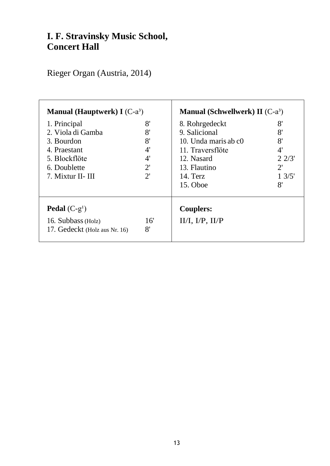# **I. F. Stravinsky Music School, Concert Hall**

| <b>Manual (Hauptwerk)</b> $I(C-a^3)$                                                             |                                            | <b>Manual (Schwellwerk) II <math>(C-a^3)</math></b>                                                         |                                                   |
|--------------------------------------------------------------------------------------------------|--------------------------------------------|-------------------------------------------------------------------------------------------------------------|---------------------------------------------------|
| 1. Principal<br>2. Viola di Gamba<br>3. Bourdon<br>4. Praestant<br>5. Blockflöte<br>6. Doublette | 8'<br>8'<br>8'<br>4'<br>4'<br>$2^{\prime}$ | 8. Rohrgedeckt<br>9. Salicional<br>10. Unda maris ab $c0$<br>11. Traversflöte<br>12. Nasard<br>13. Flautino | 8'<br>8'<br>8'<br>4'<br>$2\;2/3'$<br>$2^{\prime}$ |
| 7. Mixtur II-III                                                                                 | 2'                                         | 14. Terz<br>15. Oboe                                                                                        | $1 \frac{3}{5}$<br>8'                             |
| <b>Pedal</b> $(C-g1)$<br>16. Subbass (Holz)<br>17. Gedeckt (Holz aus Nr. 16)                     | 16'<br>8'                                  | <b>Couplers:</b><br>II/I, I/P, II/P                                                                         |                                                   |

Rieger Organ (Austria, 2014)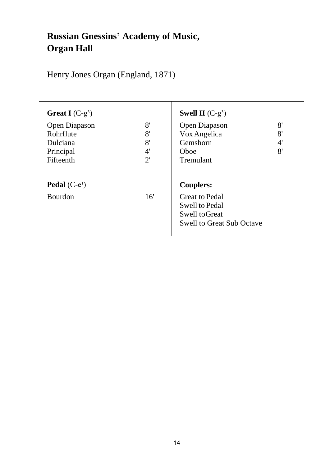# **Russian Gnessins' Academy of Music, Organ Hall**

| <b>Great I</b> $(C-g^3)$                                         |                                      | <b>Swell II</b> $(C-g^3)$                                                                                         |                      |
|------------------------------------------------------------------|--------------------------------------|-------------------------------------------------------------------------------------------------------------------|----------------------|
| Open Diapason<br>Rohrflute<br>Dulciana<br>Principal<br>Fifteenth | 8'<br>8'<br>8'<br>4'<br>$2^{\prime}$ | Open Diapason<br>Vox Angelica<br>Gemshorn<br>Oboe<br>Tremulant                                                    | 8'<br>8'<br>4'<br>8' |
| <b>Pedal</b> $(C-e^1)$<br><b>Bourdon</b>                         | 16'                                  | <b>Couplers:</b><br><b>Great to Pedal</b><br>Swell to Pedal<br>Swell to Great<br><b>Swell to Great Sub Octave</b> |                      |

Henry Jones Organ (England, 1871)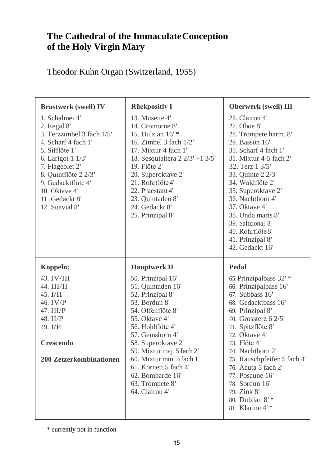# **The Cathedral of the ImmaculateConception of the Holy Virgin Mary**

Theodor Kuhn Organ (Switzerland, 1955)

| <b>Brustwerk (swell) IV</b>                                                                                                                                                                                                                        | <b>Rückpositiv I</b>                                                                                                                                                                                                                                                                                | <b>Oberwerk (swell) III</b>                                                                                                                                                                                                                                                                                                                            |
|----------------------------------------------------------------------------------------------------------------------------------------------------------------------------------------------------------------------------------------------------|-----------------------------------------------------------------------------------------------------------------------------------------------------------------------------------------------------------------------------------------------------------------------------------------------------|--------------------------------------------------------------------------------------------------------------------------------------------------------------------------------------------------------------------------------------------------------------------------------------------------------------------------------------------------------|
| 1. Schalmei 4'<br>$2.$ Regal $8'$<br>3. Terzzimbel 3 fach 1/5'<br>4. Scharf 4 fach 1'<br>5. Sifflöte 1'<br>6. Larigot 1 1/3'<br>7. Flageolet 2'<br>8. Quintflöte 2 2/3'<br>9. Gedacktflöte 4'<br>10. Oktave 4'<br>11. Gedackt 8'<br>12. Suavial 8' | 13. Musette 4'<br>14. Cromorne 8'<br>15. Dulzian 16'*<br>16. Zimbel 3 fach $1/2$<br>17. Mixtur 4 fach 1'<br>18. Sesquialtera $2 \frac{2}{3} + 1 \frac{3}{5}$<br>19. Flöte 2'<br>20. Superoktave 2'<br>21. Rohrflöte4'<br>22. Praestant 4'<br>23. Quintaden 8'<br>24. Gedackt 8'<br>25. Prinzipal 8' | 26. Clairon 4'<br>27. Oboe 8'<br>28. Trompete harm. 8'<br>29. Basson 16'<br>30. Scharf 4 fach 1'<br>31. Mixtur 4-5 fach 2'<br>32. Terz 1 3/5'<br>33. Quinte 2 2/3'<br>34. Waldflöte 2'<br>35. Superoktave 2'<br>36. Nachthorn 4'<br>37. Oktave 4'<br>38. Unda maris 8'<br>39. Salizional 8'<br>40. Rohrflöte 8'<br>41. Prinzipal 8'<br>42. Gedackt 16' |
| Koppeln:                                                                                                                                                                                                                                           | <b>Hauptwerk II</b>                                                                                                                                                                                                                                                                                 | <b>Pedal</b>                                                                                                                                                                                                                                                                                                                                           |
| 43. IV/III<br>44. III/II<br>45. I/II<br>46. IV/P<br>$47.$ III/P<br>48. $II/P$<br>49. I/P<br><b>Crescendo</b><br><b>200 Zetzerkombinationen</b>                                                                                                     | 50. Prinzipal 16'<br>51. Quintaden 16'<br>52. Prinzipal 8'<br>53. Bordun 8'<br>54. Offenflöte 8'<br>55. Oktave 4'<br>56. Hohlflöte 4'<br>57. Gemshorn 4'<br>58. Superoktave 2'<br>59. Mixtur maj. 5 fach 2'<br>60. Mixtur min. 5 fach 1'<br>61. Kornett 5 fach 4'<br>62. Bombarde 16'               | 65. Prinzipalbass 32'*<br>66. Prinzipalbass 16'<br>67. Subbass 16'<br>68. Gedacktbass 16'<br>69. Prinzipal 8'<br>70. Grossterz 6 2/5'<br>71. Spitzflöte 8'<br>72. Oktave 4'<br>73. Flöte 4'<br>74. Nachthorn 2'<br>75. Rauschpfeifen 5 fach 4'<br>76. Acuta 5 fach 2'<br>77. Posaune 16'                                                               |

\* currently not in function